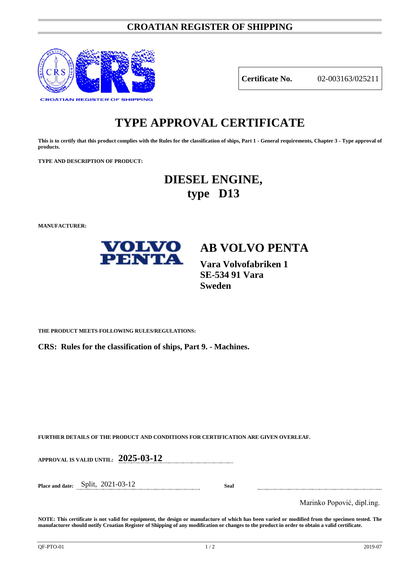### **CROATIAN REGISTER OF SHIPPING**



**Certificate No.** 02-003163/025211

# **TYPE APPROVAL CERTIFICATE**

**This is to certify that this product complies with the Rules for the classification of ships, Part 1 - General requirements, Chapter 3 - Type approval of products.**

**TYPE AND DESCRIPTION OF PRODUCT:** 

# **DIESEL ENGINE, type D13**

**MANUFACTURER:**



**Vara Volvofabriken 1 SE-534 91 Vara Sweden**

**THE PRODUCT MEETS FOLLOWING RULES/REGULATIONS:**

**CRS: Rules for the classification of ships, Part 9. - Machines.**

**FURTHER DETAILS OF THE PRODUCT AND CONDITIONS FOR CERTIFICATION ARE GIVEN OVERLEAF.**

**APPROVAL IS VALID UNTIL: 2025-03-12**

**Place and date:** Split, 2021-03-12 **Seal**

Marinko Popović, dipl.ing.

**NOTE: This certificate is not valid for equipment, the design or manufacture of which has been varied or modified from the specimen tested. The manufacturer should notify Croatian Register of Shipping of any modification or changes to the product in order to obtain a valid certificate.**